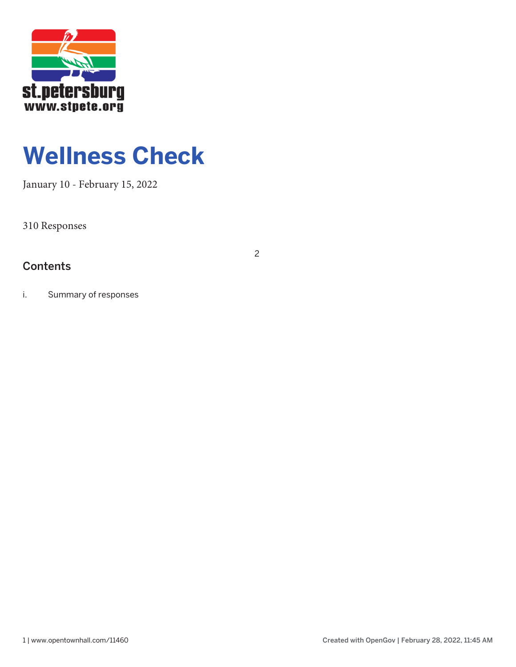

# **Wellness Check**

2

January 10 - February 15, 2022

310 Responses

## **Contents**

i. Summary of responses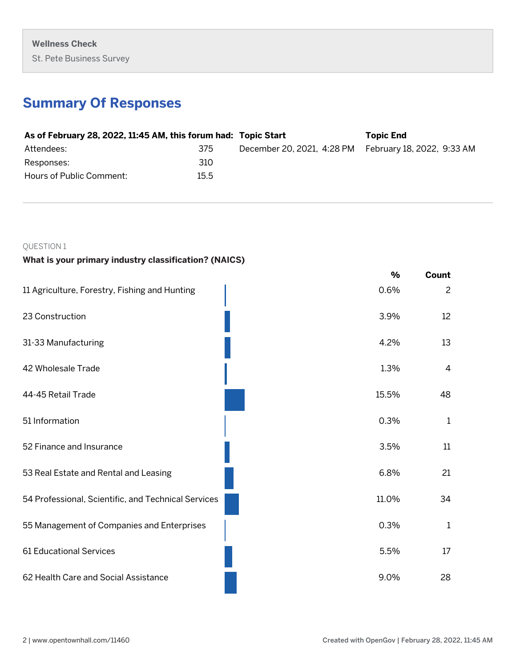## **Summary Of Responses**

| As of February 28, 2022, 11:45 AM, this forum had: Topic Start |      |                                                       | <b>Topic End</b> |
|----------------------------------------------------------------|------|-------------------------------------------------------|------------------|
| Attendees:                                                     | 375  | December 20, 2021, 4:28 PM February 18, 2022, 9:33 AM |                  |
| Responses:                                                     | 310  |                                                       |                  |
| Hours of Public Comment:                                       | 15.5 |                                                       |                  |

## QUESTION 1

## **What is your primary industry classification? (NAICS)**

|                                                     | $\frac{9}{6}$ | Count          |
|-----------------------------------------------------|---------------|----------------|
| 11 Agriculture, Forestry, Fishing and Hunting       | 0.6%          | $\overline{c}$ |
| 23 Construction                                     | 3.9%          | 12             |
| 31-33 Manufacturing                                 | 4.2%          | 13             |
| 42 Wholesale Trade                                  | 1.3%          | $\overline{4}$ |
| 44-45 Retail Trade                                  | 15.5%         | 48             |
| 51 Information                                      | 0.3%          | $\mathbf{1}$   |
| 52 Finance and Insurance                            | 3.5%          | 11             |
| 53 Real Estate and Rental and Leasing               | 6.8%          | 21             |
| 54 Professional, Scientific, and Technical Services | 11.0%         | 34             |
| 55 Management of Companies and Enterprises          | 0.3%          | 1              |
| 61 Educational Services                             | 5.5%          | 17             |
| 62 Health Care and Social Assistance                | 9.0%          | 28             |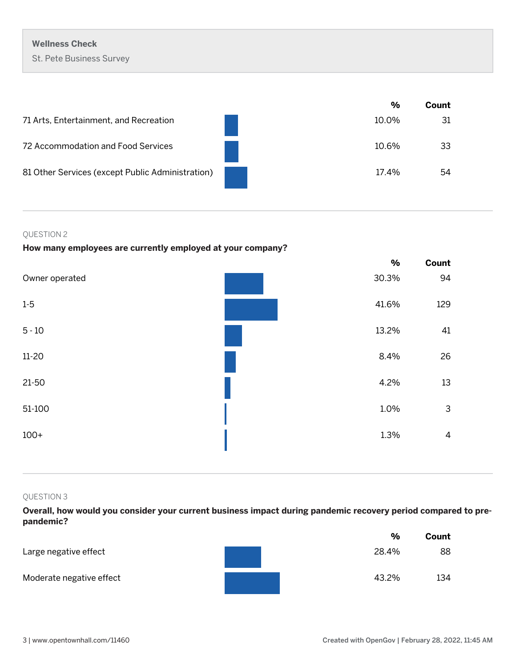|                                                  | %     | Count |
|--------------------------------------------------|-------|-------|
| 71 Arts, Entertainment, and Recreation           | 10.0% | 31    |
| 72 Accommodation and Food Services               | 10.6% | 33    |
| 81 Other Services (except Public Administration) | 17.4% | 54    |

## QUESTION 2

## **How many employees are currently employed at your company?**

|                | %     | Count        |
|----------------|-------|--------------|
| Owner operated | 30.3% | 94           |
| $1-5$          | 41.6% | 129          |
| $5 - 10$       | 13.2% | 41           |
| $11 - 20$      | 8.4%  | 26           |
| $21-50$        | 4.2%  | 13           |
| 51-100         | 1.0%  | $\mathsf{3}$ |
| $100+$         | 1.3%  | $\sqrt{4}$   |
|                |       |              |

## QUESTION 3

**Overall, how would you consider your current business impact during pandemic recovery period compared to prepandemic?**

|                          | %     | Count |
|--------------------------|-------|-------|
| Large negative effect    | 28.4% | 88    |
| Moderate negative effect | 43.2% | 134   |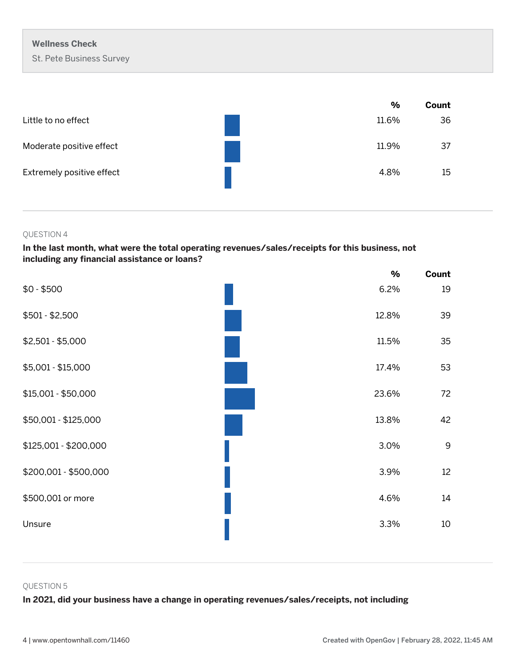|                           | %     | Count |
|---------------------------|-------|-------|
| Little to no effect       | 11.6% | 36    |
| Moderate positive effect  | 11.9% | 37    |
| Extremely positive effect | 4.8%  | 15    |

## **In the last month, what were the total operating revenues/sales/receipts for this business, not including any financial assistance or loans?**

|                       | $\frac{0}{0}$ | Count |
|-----------------------|---------------|-------|
| $$0 - $500$           | 6.2%          | 19    |
| $$501 - $2,500$       | 12.8%         | 39    |
| $$2,501 - $5,000$     | 11.5%         | 35    |
| \$5,001 - \$15,000    | 17.4%         | 53    |
| \$15,001 - \$50,000   | 23.6%         | 72    |
| \$50,001 - \$125,000  | 13.8%         | 42    |
| \$125,001 - \$200,000 | 3.0%          | 9     |
| \$200,001 - \$500,000 | 3.9%          | 12    |
| \$500,001 or more     | 4.6%          | 14    |
| Unsure                | 3.3%          | 10    |

#### QUESTION 5

## **In 2021, did your business have a change in operating revenues/sales/receipts, not including**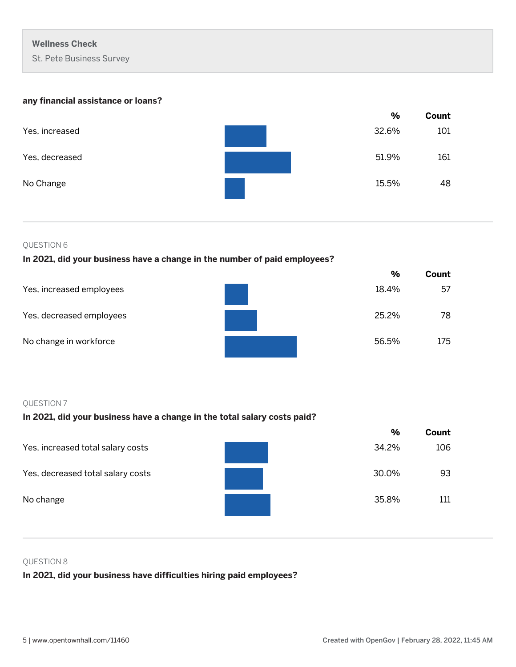## **any financial assistance or loans?**

|                | %     | Count |
|----------------|-------|-------|
| Yes, increased | 32.6% | 101   |
| Yes, decreased | 51.9% | 161   |
| No Change      | 15.5% | 48    |

## QUESTION 6

## **In 2021, did your business have a change in the number of paid employees?**

|                          |       | $\%$<br>Count |
|--------------------------|-------|---------------|
| Yes, increased employees | 18.4% | 57            |
| Yes, decreased employees | 25.2% | 78            |
| No change in workforce   | 56.5% | 175           |

## QUESTION 7

## **In 2021, did your business have a change in the total salary costs paid?**

|                                   | $\frac{9}{6}$ | Count |
|-----------------------------------|---------------|-------|
| Yes, increased total salary costs | 34.2%         | 106   |
| Yes, decreased total salary costs | 30.0%         | 93    |
| No change                         | 35.8%         | 111   |

## QUESTION 8

**In 2021, did your business have difficulties hiring paid employees?**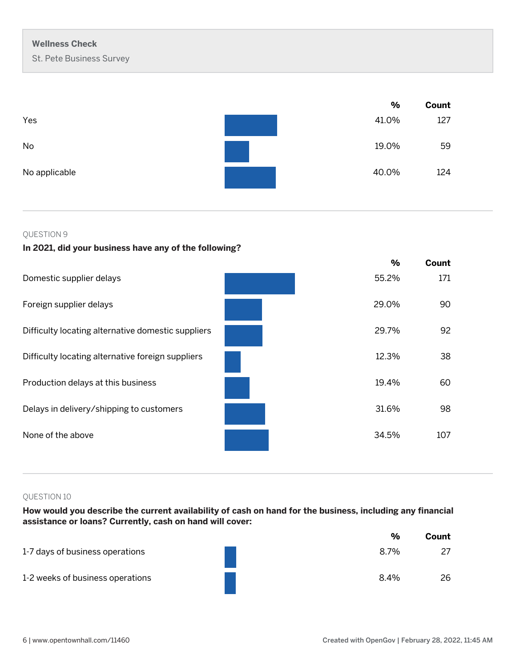|               | %     | Count |
|---------------|-------|-------|
| Yes           | 41.0% | 127   |
| No            | 19.0% | 59    |
| No applicable | 40.0% | 124   |

## **In 2021, did your business have any of the following?**

|                                                    | $\frac{9}{6}$ | Count |
|----------------------------------------------------|---------------|-------|
| Domestic supplier delays                           | 55.2%         | 171   |
| Foreign supplier delays                            | 29.0%         | 90    |
| Difficulty locating alternative domestic suppliers | 29.7%         | 92    |
| Difficulty locating alternative foreign suppliers  | 12.3%         | 38    |
| Production delays at this business                 | 19.4%         | 60    |
| Delays in delivery/shipping to customers           | 31.6%         | 98    |
| None of the above                                  | 34.5%         | 107   |

## QUESTION 10

**How would you describe the current availability of cash on hand for the business, including any financial assistance or loans? Currently, cash on hand will cover:**

|                                  | $\frac{0}{0}$ | Count |
|----------------------------------|---------------|-------|
| 1-7 days of business operations  | 8.7%          | 27    |
| 1-2 weeks of business operations | 8.4%          | 26    |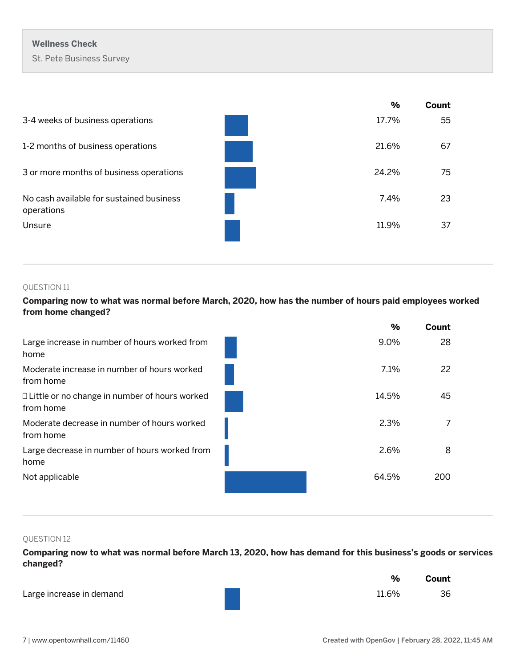|                                                        | %     | Count |
|--------------------------------------------------------|-------|-------|
| 3-4 weeks of business operations                       | 17.7% | 55    |
| 1-2 months of business operations                      | 21.6% | 67    |
| 3 or more months of business operations                | 24.2% | 75    |
| No cash available for sustained business<br>operations | 7.4%  | 23    |
| Unsure                                                 | 11.9% | 37    |
|                                                        |       |       |

## QUESTION 11

**Comparing now to what was normal before March, 2020, how has the number of hours paid employees worked from home changed?** 

|                                                              | %     | Count |
|--------------------------------------------------------------|-------|-------|
| Large increase in number of hours worked from<br>home        | 9.0%  | 28    |
| Moderate increase in number of hours worked<br>from home     | 7.1%  | 22    |
| □ Little or no change in number of hours worked<br>from home | 14.5% | 45    |
| Moderate decrease in number of hours worked<br>from home     | 2.3%  |       |
| Large decrease in number of hours worked from<br>home        | 2.6%  | 8     |
| Not applicable                                               | 64.5% | 200   |

## QUESTION 12

**Comparing now to what was normal before March 13, 2020, how has demand for this business's goods or services changed?** 

|                          | $\%$  | Count |
|--------------------------|-------|-------|
| Large increase in demand | 11.6% | 36    |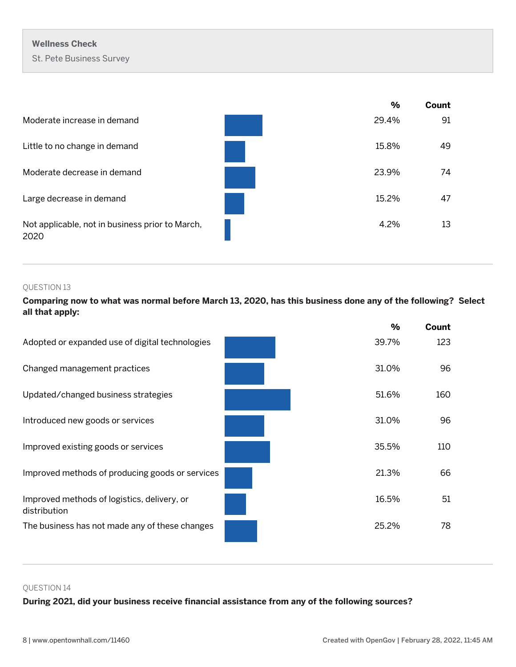|                                                         | %     | Count |
|---------------------------------------------------------|-------|-------|
| Moderate increase in demand                             | 29.4% | 91    |
| Little to no change in demand                           | 15.8% | 49    |
| Moderate decrease in demand                             | 23.9% | 74    |
| Large decrease in demand                                | 15.2% | 47    |
| Not applicable, not in business prior to March,<br>2020 | 4.2%  | 13    |

## QUESTION 13

**Comparing now to what was normal before March 13, 2020, has this business done any of the following? Select all that apply:**

|                                                             | %     | Count |
|-------------------------------------------------------------|-------|-------|
| Adopted or expanded use of digital technologies             | 39.7% | 123   |
| Changed management practices                                | 31.0% | 96    |
| Updated/changed business strategies                         | 51.6% | 160   |
| Introduced new goods or services                            | 31.0% | 96    |
| Improved existing goods or services                         | 35.5% | 110   |
| Improved methods of producing goods or services             | 21.3% | 66    |
| Improved methods of logistics, delivery, or<br>distribution | 16.5% | 51    |
| The business has not made any of these changes              | 25.2% | 78    |

#### QUESTION 14

**During 2021, did your business receive financial assistance from any of the following sources?**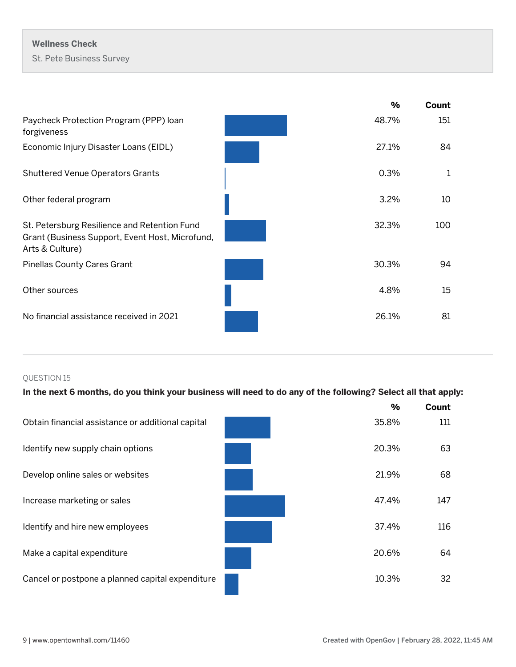|  | <b>Wellness Check</b>           |  |
|--|---------------------------------|--|
|  | <b>St. Pete Business Survey</b> |  |

|                                                                                                                    | %     | Count |
|--------------------------------------------------------------------------------------------------------------------|-------|-------|
| Paycheck Protection Program (PPP) loan<br>forgiveness                                                              | 48.7% | 151   |
| Economic Injury Disaster Loans (EIDL)                                                                              | 27.1% | 84    |
| <b>Shuttered Venue Operators Grants</b>                                                                            | 0.3%  | 1     |
| Other federal program                                                                                              | 3.2%  | 10    |
| St. Petersburg Resilience and Retention Fund<br>Grant (Business Support, Event Host, Microfund,<br>Arts & Culture) | 32.3% | 100   |
| <b>Pinellas County Cares Grant</b>                                                                                 | 30.3% | 94    |
| Other sources                                                                                                      | 4.8%  | 15    |
| No financial assistance received in 2021                                                                           | 26.1% | 81    |

## **In the next 6 months, do you think your business will need to do any of the following? Select all that apply:**

|                                                   | $\frac{9}{6}$ | Count |
|---------------------------------------------------|---------------|-------|
| Obtain financial assistance or additional capital | 35.8%         | 111   |
| Identify new supply chain options                 | 20.3%         | 63    |
| Develop online sales or websites                  | 21.9%         | 68    |
| Increase marketing or sales                       | 47.4%         | 147   |
| Identify and hire new employees                   | 37.4%         | 116   |
| Make a capital expenditure                        | 20.6%         | 64    |
| Cancel or postpone a planned capital expenditure  | 10.3%         | 32    |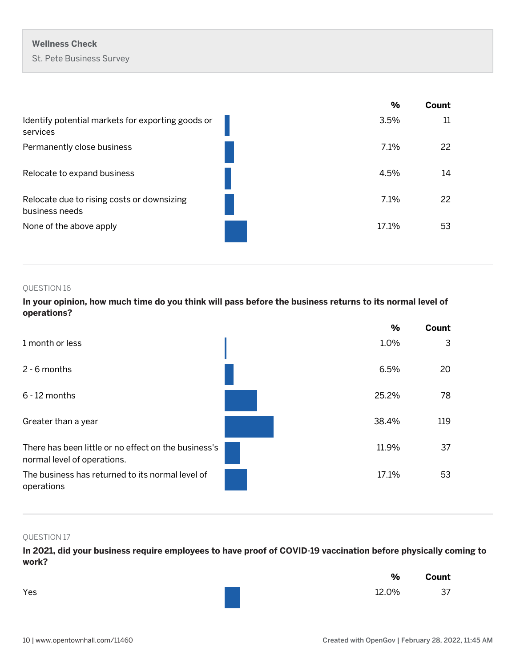|                                                               | %     | Count |
|---------------------------------------------------------------|-------|-------|
| Identify potential markets for exporting goods or<br>services | 3.5%  | 11    |
| Permanently close business                                    | 7.1%  | 22    |
| Relocate to expand business                                   | 4.5%  | 14    |
| Relocate due to rising costs or downsizing<br>business needs  | 7.1%  | 22    |
| None of the above apply                                       | 17.1% | 53    |

**In your opinion, how much time do you think will pass before the business returns to its normal level of operations?**



## QUESTION 17

**In 2021, did your business require employees to have proof of COVID-19 vaccination before physically coming to work?**

|     | $\%$  | Count |
|-----|-------|-------|
| Yes | 12.0% | 37    |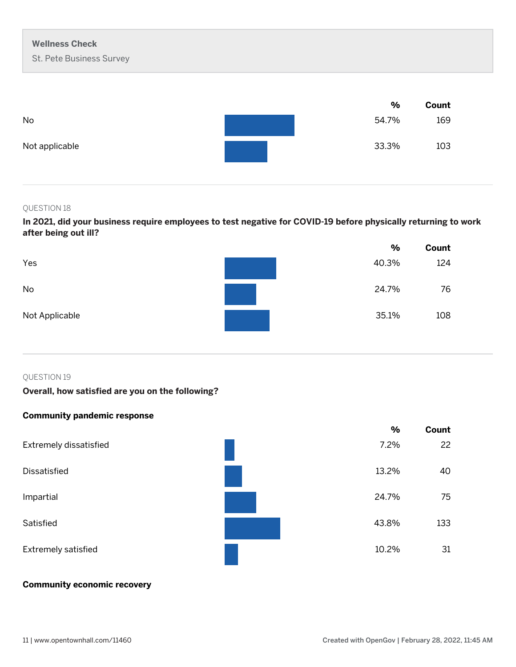|                | %     | Count |
|----------------|-------|-------|
| No             | 54.7% | 169   |
| Not applicable | 33.3% | 103   |

**In 2021, did your business require employees to test negative for COVID-19 before physically returning to work after being out ill?** 

|                | %     | Count |
|----------------|-------|-------|
| Yes            | 40.3% | 124   |
| No             | 24.7% | 76    |
| Not Applicable | 35.1% | 108   |

#### QUESTION 19

## **Overall, how satisfied are you on the following?**

## **Community pandemic response**



## **Community economic recovery**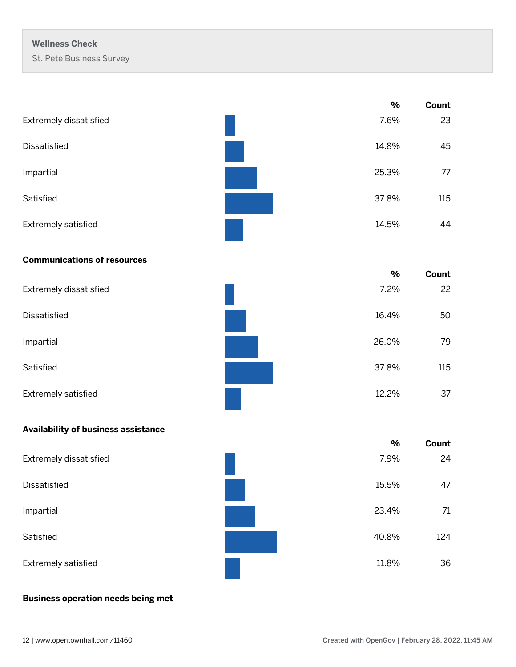|                                     | $\%$          | Count |
|-------------------------------------|---------------|-------|
| Extremely dissatisfied              | 7.6%          | 23    |
| Dissatisfied                        | 14.8%         | 45    |
| Impartial                           | 25.3%         | 77    |
| Satisfied                           | 37.8%         | 115   |
| Extremely satisfied                 | 14.5%         | 44    |
| <b>Communications of resources</b>  |               |       |
|                                     | $\%$          | Count |
| Extremely dissatisfied              | 7.2%          | 22    |
| Dissatisfied                        | 16.4%         | 50    |
| Impartial                           | 26.0%         | 79    |
| Satisfied                           | 37.8%         | 115   |
| Extremely satisfied                 | 12.2%         | 37    |
| Availability of business assistance |               |       |
|                                     | $\frac{0}{0}$ | Count |
| Extremely dissatisfied              | 7.9%          | 24    |
| Dissatisfied                        | 15.5%         | 47    |
| Impartial                           | 23.4%         | 71    |
| Satisfied                           | 40.8%         | 124   |
| Extremely satisfied                 | 11.8%         | 36    |

## **Business operation needs being met**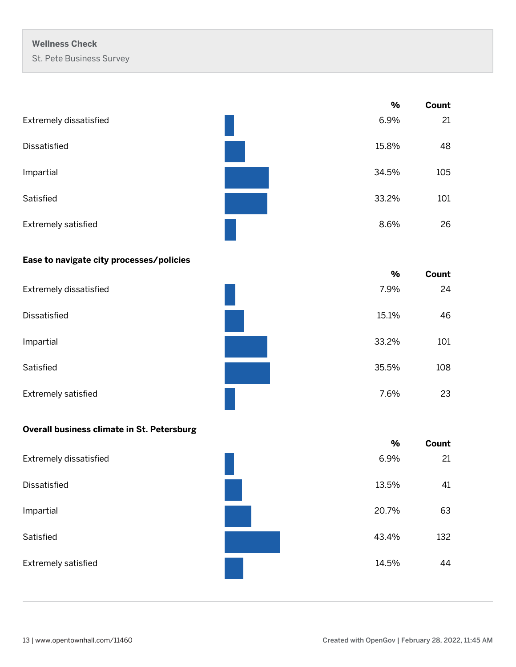|                            | $\%$  | Count |
|----------------------------|-------|-------|
| Extremely dissatisfied     | 6.9%  | 21    |
| Dissatisfied               | 15.8% | 48    |
| Impartial                  | 34.5% | 105   |
| Satisfied                  | 33.2% | 101   |
| <b>Extremely satisfied</b> | 8.6%  | 26    |

a a s

## **Ease to navigate city processes/policies**

|                        | $\frac{0}{0}$ | Count |
|------------------------|---------------|-------|
| Extremely dissatisfied | 7.9%          | 24    |
| Dissatisfied           | 15.1%         | 46    |
| Impartial              | 33.2%         | 101   |
| Satisfied              | 35.5%         | 108   |
| Extremely satisfied    | 7.6%          | 23    |

## **Overall business climate in St. Petersburg**

|                               | %     | Count |
|-------------------------------|-------|-------|
| <b>Extremely dissatisfied</b> | 6.9%  | 21    |
| <b>Dissatisfied</b>           | 13.5% | 41    |
| Impartial                     | 20.7% | 63    |
| Satisfied                     | 43.4% | 132   |
| Extremely satisfied           | 14.5% | 44    |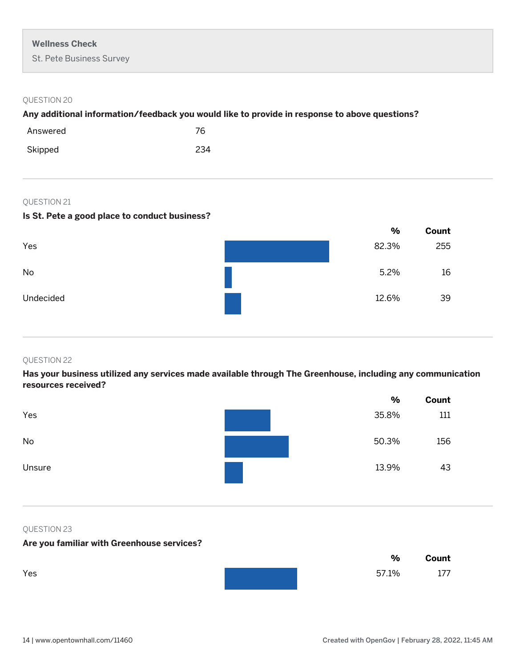## **Any additional information/feedback you would like to provide in response to above questions?**

| Answered | 76  |
|----------|-----|
| Skipped  | 234 |

## QUESTION 21

## **Is St. Pete a good place to conduct business?**

|           | $\%$  | Count |
|-----------|-------|-------|
| Yes       | 82.3% | 255   |
| No        | 5.2%  | 16    |
| Undecided | 12.6% | 39    |

#### QUESTION 22

**Has your business utilized any services made available through The Greenhouse, including any communication resources received?**

|        | $\%$  | Count |
|--------|-------|-------|
| Yes    | 35.8% | 111   |
| No     | 50.3% | 156   |
| Unsure | 13.9% | 43    |

#### QUESTION 23

## **Are you familiar with Greenhouse services?**

|     | %     | Count |
|-----|-------|-------|
| Yes | 57.1% | 177   |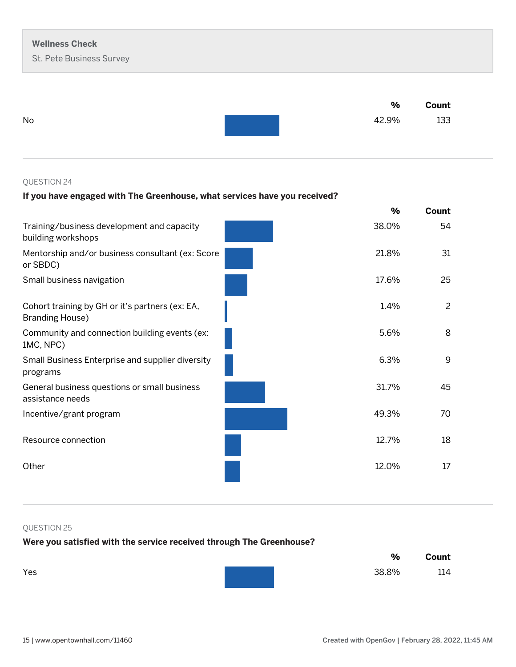|    | %     | Count |
|----|-------|-------|
| No | 42.9% | 133   |

## **If you have engaged with The Greenhouse, what services have you received?**

|                                                                           | $\%$  | Count |
|---------------------------------------------------------------------------|-------|-------|
| Training/business development and capacity<br>building workshops          | 38.0% | 54    |
| Mentorship and/or business consultant (ex: Score<br>or SBDC)              | 21.8% | 31    |
| Small business navigation                                                 | 17.6% | 25    |
| Cohort training by GH or it's partners (ex: EA,<br><b>Branding House)</b> | 1.4%  | 2     |
| Community and connection building events (ex:<br>1MC, NPC)                | 5.6%  | 8     |
| Small Business Enterprise and supplier diversity<br>programs              | 6.3%  | 9     |
| General business questions or small business<br>assistance needs          | 31.7% | 45    |
| Incentive/grant program                                                   | 49.3% | 70    |
| Resource connection                                                       | 12.7% | 18    |
| Other                                                                     | 12.0% | 17    |
|                                                                           |       |       |

## QUESTION 25

## **Were you satisfied with the service received through The Greenhouse?**

|     | %     | Count |
|-----|-------|-------|
| Yes | 38.8% | 114   |